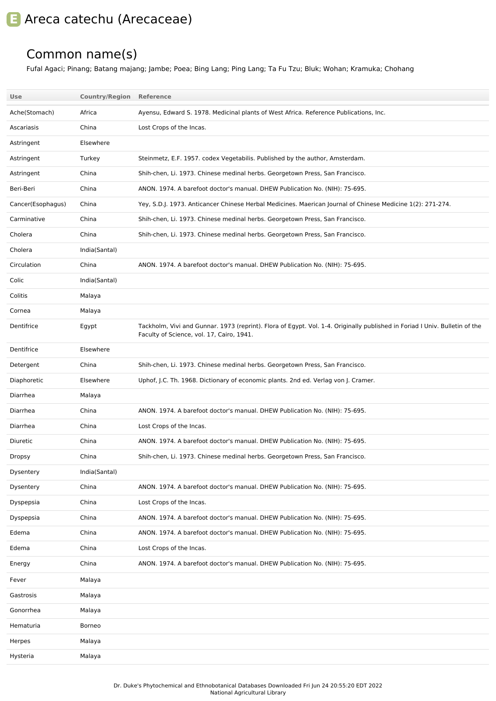## **E** Areca catechu (Arecaceae)

## Common name(s)

Fufal Agaci; Pinang; Batang majang; Jambe; Poea; Bing Lang; Ping Lang; Ta Fu Tzu; Bluk; Wohan; Kramuka; Chohang

| <b>Use</b>        | <b>Country/Region Reference</b> |                                                                                                                                                                          |
|-------------------|---------------------------------|--------------------------------------------------------------------------------------------------------------------------------------------------------------------------|
| Ache(Stomach)     | Africa                          | Ayensu, Edward S. 1978. Medicinal plants of West Africa. Reference Publications, Inc.                                                                                    |
| Ascariasis        | China                           | Lost Crops of the Incas.                                                                                                                                                 |
| Astringent        | Elsewhere                       |                                                                                                                                                                          |
| Astringent        | Turkey                          | Steinmetz, E.F. 1957. codex Vegetabilis. Published by the author, Amsterdam.                                                                                             |
| Astringent        | China                           | Shih-chen, Li. 1973. Chinese medinal herbs. Georgetown Press, San Francisco.                                                                                             |
| Beri-Beri         | China                           | ANON. 1974. A barefoot doctor's manual. DHEW Publication No. (NIH): 75-695.                                                                                              |
| Cancer(Esophagus) | China                           | Yey, S.D.J. 1973. Anticancer Chinese Herbal Medicines. Maerican Journal of Chinese Medicine 1(2): 271-274.                                                               |
| Carminative       | China                           | Shih-chen, Li. 1973. Chinese medinal herbs. Georgetown Press, San Francisco.                                                                                             |
| Cholera           | China                           | Shih-chen, Li. 1973. Chinese medinal herbs. Georgetown Press, San Francisco.                                                                                             |
| Cholera           | India(Santal)                   |                                                                                                                                                                          |
| Circulation       | China                           | ANON. 1974. A barefoot doctor's manual. DHEW Publication No. (NIH): 75-695.                                                                                              |
| Colic             | India(Santal)                   |                                                                                                                                                                          |
| Colitis           | Malaya                          |                                                                                                                                                                          |
| Cornea            | Malaya                          |                                                                                                                                                                          |
| Dentifrice        | Egypt                           | Tackholm, Vivi and Gunnar. 1973 (reprint). Flora of Egypt. Vol. 1-4. Originally published in Foriad I Univ. Bulletin of the<br>Faculty of Science, vol. 17, Cairo, 1941. |
| Dentifrice        | Elsewhere                       |                                                                                                                                                                          |
| Detergent         | China                           | Shih-chen, Li. 1973. Chinese medinal herbs. Georgetown Press, San Francisco.                                                                                             |
|                   |                                 |                                                                                                                                                                          |
| Diaphoretic       | Elsewhere                       | Uphof, J.C. Th. 1968. Dictionary of economic plants. 2nd ed. Verlag von J. Cramer.                                                                                       |
| Diarrhea          | Malaya                          |                                                                                                                                                                          |
| Diarrhea          | China                           | ANON. 1974. A barefoot doctor's manual. DHEW Publication No. (NIH): 75-695.                                                                                              |
| Diarrhea          | China                           | Lost Crops of the Incas.                                                                                                                                                 |
| Diuretic          | China                           | ANON. 1974. A barefoot doctor's manual. DHEW Publication No. (NIH): 75-695.                                                                                              |
| <b>Dropsy</b>     | China                           | Shih-chen, Li. 1973. Chinese medinal herbs. Georgetown Press, San Francisco.                                                                                             |
| Dysentery         | India(Santal)                   |                                                                                                                                                                          |
| Dysentery         | China                           | ANON. 1974. A barefoot doctor's manual. DHEW Publication No. (NIH): 75-695.                                                                                              |
| Dyspepsia         | China                           | Lost Crops of the Incas.                                                                                                                                                 |
| Dyspepsia         | China                           | ANON. 1974. A barefoot doctor's manual. DHEW Publication No. (NIH): 75-695.                                                                                              |
| Edema             | China                           | ANON. 1974. A barefoot doctor's manual. DHEW Publication No. (NIH): 75-695.                                                                                              |
| Edema             | China                           | Lost Crops of the Incas.                                                                                                                                                 |
| Energy            | China                           | ANON. 1974. A barefoot doctor's manual. DHEW Publication No. (NIH): 75-695.                                                                                              |
| Fever             | Malaya                          |                                                                                                                                                                          |
| Gastrosis         | Malaya                          |                                                                                                                                                                          |
| Gonorrhea         | Malaya                          |                                                                                                                                                                          |
| Hematuria         | Borneo                          |                                                                                                                                                                          |
| Herpes            | Malaya                          |                                                                                                                                                                          |